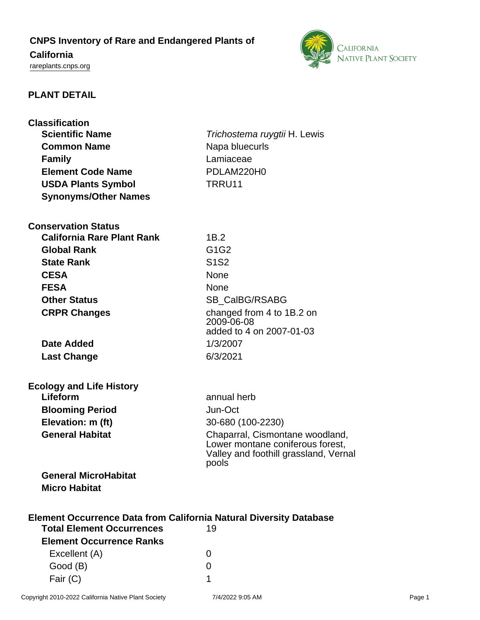# **CNPS Inventory of Rare and Endangered Plants of**

# **California**

<rareplants.cnps.org>



## **PLANT DETAIL**

| <b>Classification</b>                                                     |                                                |  |
|---------------------------------------------------------------------------|------------------------------------------------|--|
| <b>Scientific Name</b>                                                    | Trichostema ruygtii H. Lewis                   |  |
| <b>Common Name</b>                                                        | Napa bluecurls                                 |  |
| <b>Family</b>                                                             | Lamiaceae                                      |  |
| <b>Element Code Name</b>                                                  | PDLAM220H0                                     |  |
| <b>USDA Plants Symbol</b>                                                 | TRRU11                                         |  |
| <b>Synonyms/Other Names</b>                                               |                                                |  |
| <b>Conservation Status</b>                                                |                                                |  |
| <b>California Rare Plant Rank</b>                                         | 1B.2                                           |  |
| <b>Global Rank</b>                                                        | G1G2                                           |  |
| <b>State Rank</b>                                                         | <b>S1S2</b>                                    |  |
| <b>CESA</b>                                                               | <b>None</b>                                    |  |
| <b>FESA</b>                                                               | <b>None</b>                                    |  |
| <b>Other Status</b>                                                       | SB_CalBG/RSABG                                 |  |
| <b>CRPR Changes</b>                                                       | changed from 4 to 1B.2 on                      |  |
|                                                                           | 2009-06-08                                     |  |
|                                                                           | added to 4 on 2007-01-03                       |  |
| <b>Date Added</b>                                                         | 1/3/2007                                       |  |
| <b>Last Change</b>                                                        | 6/3/2021                                       |  |
| <b>Ecology and Life History</b>                                           |                                                |  |
| Lifeform                                                                  | annual herb                                    |  |
| <b>Blooming Period</b>                                                    | Jun-Oct                                        |  |
| Elevation: m (ft)                                                         | 30-680 (100-2230)                              |  |
| <b>General Habitat</b>                                                    | Chaparral, Cismontane woodland,                |  |
|                                                                           | Lower montane coniferous forest,               |  |
|                                                                           | Valley and foothill grassland, Vernal<br>pools |  |
| <b>General MicroHabitat</b>                                               |                                                |  |
| <b>Micro Habitat</b>                                                      |                                                |  |
|                                                                           |                                                |  |
| <b>Element Occurrence Data from California Natural Diversity Database</b> |                                                |  |
| <b>Total Element Occurrences</b>                                          | 19                                             |  |
| <b>Element Occurrence Ranks</b>                                           |                                                |  |
| Excellent (A)                                                             | 0                                              |  |
| Good (B)                                                                  | 0                                              |  |

Fair (C) 1